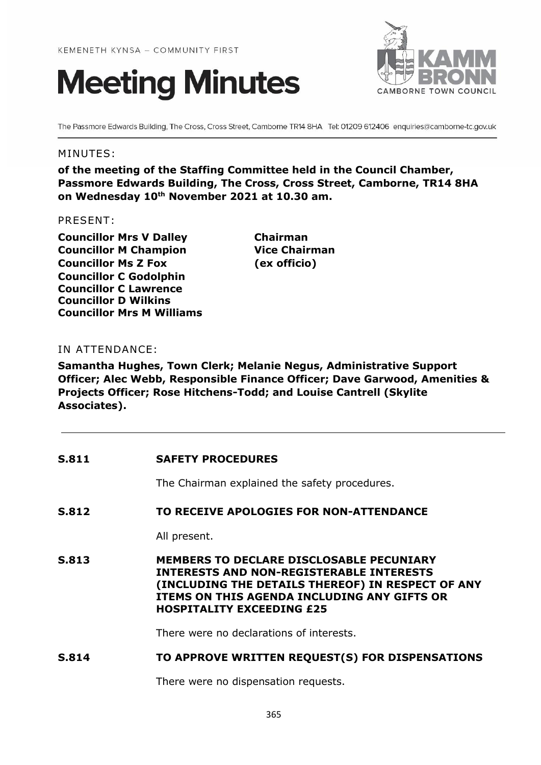



The Passmore Edwards Building, The Cross, Cross Street, Camborne TR14 8HA Tel: 01209 612406 enquiries@camborne-tc.gov.uk

### MINUTES:

**of the meeting of the Staffing Committee held in the Council Chamber, Passmore Edwards Building, The Cross, Cross Street, Camborne, TR14 8HA on Wednesday 10th November 2021 at 10.30 am.**

#### PRESENT:

**Councillor Mrs V Dalley Chairman Councillor M Champion Vice Chairman Councillor Ms Z Fox (ex officio) Councillor C Godolphin Councillor C Lawrence Councillor D Wilkins Councillor Mrs M Williams**

### IN ATTENDANCE:

**Samantha Hughes, Town Clerk; Melanie Negus, Administrative Support Officer; Alec Webb, Responsible Finance Officer; Dave Garwood, Amenities & Projects Officer; Rose Hitchens-Todd; and Louise Cantrell (Skylite Associates).**

| S.811        | <b>SAFETY PROCEDURES</b>                                                                                                                                                                                                                   |
|--------------|--------------------------------------------------------------------------------------------------------------------------------------------------------------------------------------------------------------------------------------------|
|              | The Chairman explained the safety procedures.                                                                                                                                                                                              |
| <b>S.812</b> | TO RECEIVE APOLOGIES FOR NON-ATTENDANCE                                                                                                                                                                                                    |
|              | All present.                                                                                                                                                                                                                               |
| S.813        | <b>MEMBERS TO DECLARE DISCLOSABLE PECUNIARY</b><br><b>INTERESTS AND NON-REGISTERABLE INTERESTS</b><br>(INCLUDING THE DETAILS THEREOF) IN RESPECT OF ANY<br>ITEMS ON THIS AGENDA INCLUDING ANY GIFTS OR<br><b>HOSPITALITY EXCEEDING £25</b> |
|              | There were no declarations of interests.                                                                                                                                                                                                   |
| S.814        | TO APPROVE WRITTEN REQUEST(S) FOR DISPENSATIONS                                                                                                                                                                                            |

There were no dispensation requests.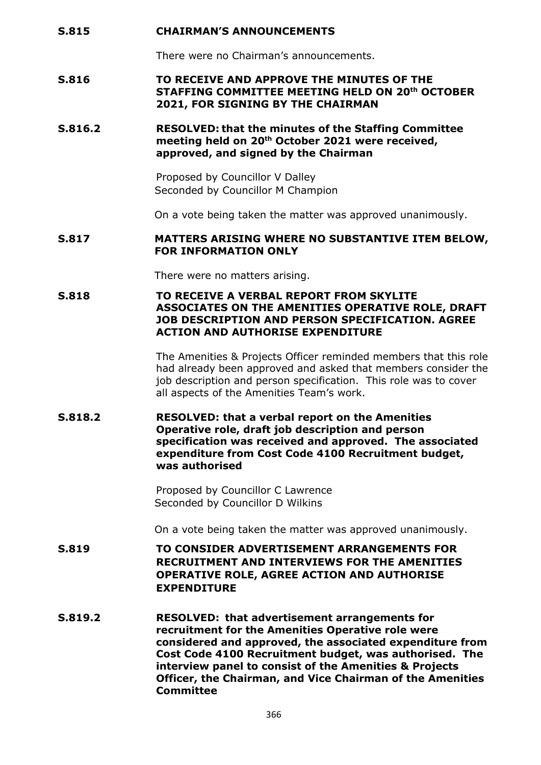#### **S.815 CHAIRMAN'S ANNOUNCEMENTS**

There were no Chairman's announcements.

#### **S.816 TO RECEIVE AND APPROVE THE MINUTES OF THE STAFFING COMMITTEE MEETING HELD ON 20th OCTOBER 2021, FOR SIGNING BY THE CHAIRMAN**

### **S.816.2 RESOLVED: that the minutes of the Staffing Committee meeting held on 20th October 2021 were received, approved, and signed by the Chairman**

Proposed by Councillor V Dalley Seconded by Councillor M Champion

On a vote being taken the matter was approved unanimously.

#### **S.817 MATTERS ARISING WHERE NO SUBSTANTIVE ITEM BELOW, FOR INFORMATION ONLY**

There were no matters arising.

#### **S.818 TO RECEIVE A VERBAL REPORT FROM SKYLITE ASSOCIATES ON THE AMENITIES OPERATIVE ROLE, DRAFT JOB DESCRIPTION AND PERSON SPECIFICATION. AGREE ACTION AND AUTHORISE EXPENDITURE**

The Amenities & Projects Officer reminded members that this role had already been approved and asked that members consider the job description and person specification. This role was to cover all aspects of the Amenities Team's work.

### **S.818.2 RESOLVED: that a verbal report on the Amenities Operative role, draft job description and person specification was received and approved. The associated expenditure from Cost Code 4100 Recruitment budget, was authorised**

Proposed by Councillor C Lawrence Seconded by Councillor D Wilkins

On a vote being taken the matter was approved unanimously.

- **S.819 TO CONSIDER ADVERTISEMENT ARRANGEMENTS FOR RECRUITMENT AND INTERVIEWS FOR THE AMENITIES OPERATIVE ROLE, AGREE ACTION AND AUTHORISE EXPENDITURE**
- **S.819.2 RESOLVED: that advertisement arrangements for recruitment for the Amenities Operative role were considered and approved, the associated expenditure from Cost Code 4100 Recruitment budget, was authorised. The interview panel to consist of the Amenities & Projects Officer, the Chairman, and Vice Chairman of the Amenities Committee**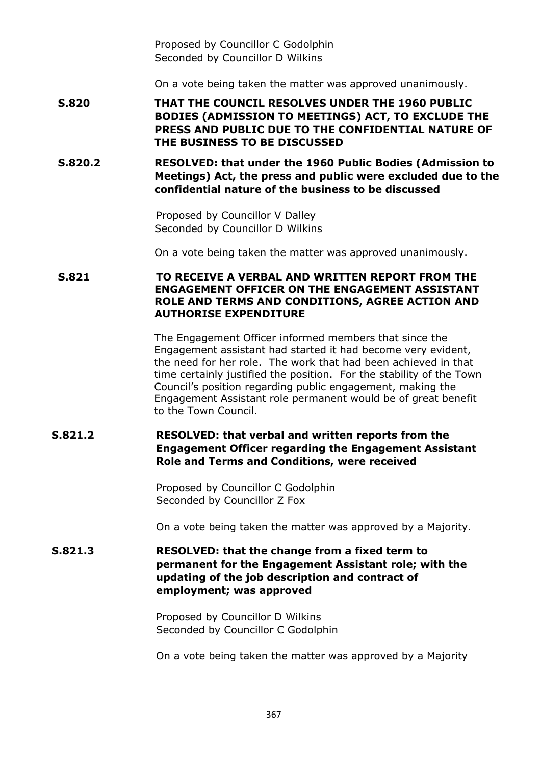Proposed by Councillor C Godolphin Seconded by Councillor D Wilkins

On a vote being taken the matter was approved unanimously.

**S.820 THAT THE COUNCIL RESOLVES UNDER THE 1960 PUBLIC BODIES (ADMISSION TO MEETINGS) ACT, TO EXCLUDE THE PRESS AND PUBLIC DUE TO THE CONFIDENTIAL NATURE OF THE BUSINESS TO BE DISCUSSED**

**S.820.2 RESOLVED: that under the 1960 Public Bodies (Admission to Meetings) Act, the press and public were excluded due to the confidential nature of the business to be discussed**

> Proposed by Councillor V Dalley Seconded by Councillor D Wilkins

On a vote being taken the matter was approved unanimously.

### **S.821 TO RECEIVE A VERBAL AND WRITTEN REPORT FROM THE ENGAGEMENT OFFICER ON THE ENGAGEMENT ASSISTANT ROLE AND TERMS AND CONDITIONS, AGREE ACTION AND AUTHORISE EXPENDITURE**

The Engagement Officer informed members that since the Engagement assistant had started it had become very evident, the need for her role. The work that had been achieved in that time certainly justified the position. For the stability of the Town Council's position regarding public engagement, making the Engagement Assistant role permanent would be of great benefit to the Town Council.

# **S.821.2 RESOLVED: that verbal and written reports from the Engagement Officer regarding the Engagement Assistant Role and Terms and Conditions, were received**

Proposed by Councillor C Godolphin Seconded by Councillor Z Fox

On a vote being taken the matter was approved by a Majority.

# **S.821.3 RESOLVED: that the change from a fixed term to permanent for the Engagement Assistant role; with the updating of the job description and contract of employment; was approved**

Proposed by Councillor D Wilkins Seconded by Councillor C Godolphin

On a vote being taken the matter was approved by a Majority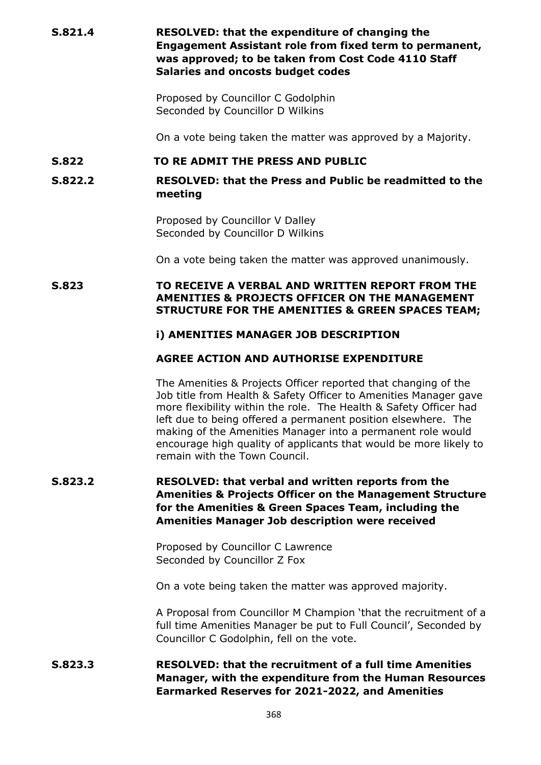**S.821.4 RESOLVED: that the expenditure of changing the Engagement Assistant role from fixed term to permanent, was approved; to be taken from Cost Code 4110 Staff Salaries and oncosts budget codes**

> Proposed by Councillor C Godolphin Seconded by Councillor D Wilkins

On a vote being taken the matter was approved by a Majority.

#### **S.822 TO RE ADMIT THE PRESS AND PUBLIC**

**S.822.2 RESOLVED: that the Press and Public be readmitted to the meeting**

> Proposed by Councillor V Dalley Seconded by Councillor D Wilkins

On a vote being taken the matter was approved unanimously.

### **S.823 TO RECEIVE A VERBAL AND WRITTEN REPORT FROM THE AMENITIES & PROJECTS OFFICER ON THE MANAGEMENT STRUCTURE FOR THE AMENITIES & GREEN SPACES TEAM;**

#### **i) AMENITIES MANAGER JOB DESCRIPTION**

## **AGREE ACTION AND AUTHORISE EXPENDITURE**

The Amenities & Projects Officer reported that changing of the Job title from Health & Safety Officer to Amenities Manager gave more flexibility within the role. The Health & Safety Officer had left due to being offered a permanent position elsewhere. The making of the Amenities Manager into a permanent role would encourage high quality of applicants that would be more likely to remain with the Town Council.

# **S.823.2 RESOLVED: that verbal and written reports from the Amenities & Projects Officer on the Management Structure for the Amenities & Green Spaces Team, including the Amenities Manager Job description were received**

Proposed by Councillor C Lawrence Seconded by Councillor Z Fox

On a vote being taken the matter was approved majority.

A Proposal from Councillor M Champion 'that the recruitment of a full time Amenities Manager be put to Full Council', Seconded by Councillor C Godolphin, fell on the vote.

# **S.823.3 RESOLVED: that the recruitment of a full time Amenities Manager, with the expenditure from the Human Resources Earmarked Reserves for 2021-2022, and Amenities**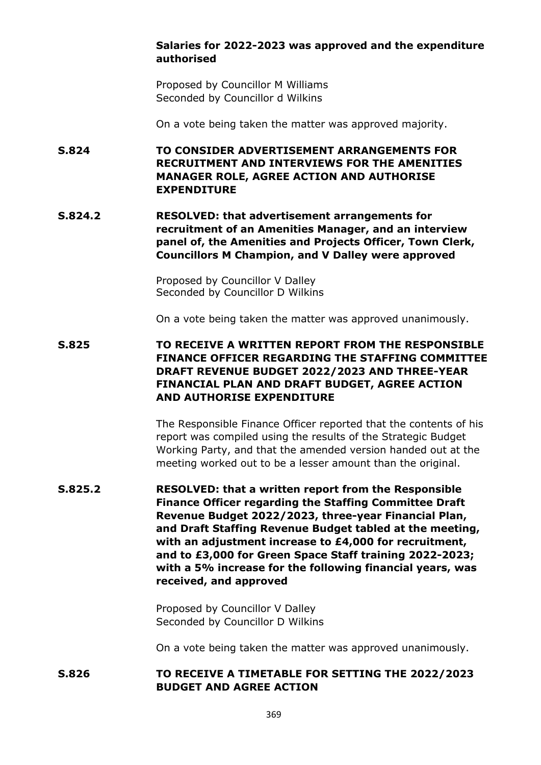### **Salaries for 2022-2023 was approved and the expenditure authorised**

Proposed by Councillor M Williams Seconded by Councillor d Wilkins

On a vote being taken the matter was approved majority.

**S.824 TO CONSIDER ADVERTISEMENT ARRANGEMENTS FOR RECRUITMENT AND INTERVIEWS FOR THE AMENITIES MANAGER ROLE, AGREE ACTION AND AUTHORISE EXPENDITURE**

**S.824.2 RESOLVED: that advertisement arrangements for recruitment of an Amenities Manager, and an interview panel of, the Amenities and Projects Officer, Town Clerk, Councillors M Champion, and V Dalley were approved**

> Proposed by Councillor V Dalley Seconded by Councillor D Wilkins

On a vote being taken the matter was approved unanimously.

**S.825 TO RECEIVE A WRITTEN REPORT FROM THE RESPONSIBLE FINANCE OFFICER REGARDING THE STAFFING COMMITTEE DRAFT REVENUE BUDGET 2022/2023 AND THREE-YEAR FINANCIAL PLAN AND DRAFT BUDGET, AGREE ACTION AND AUTHORISE EXPENDITURE**

> The Responsible Finance Officer reported that the contents of his report was compiled using the results of the Strategic Budget Working Party, and that the amended version handed out at the meeting worked out to be a lesser amount than the original.

**S.825.2 RESOLVED: that a written report from the Responsible Finance Officer regarding the Staffing Committee Draft Revenue Budget 2022/2023, three-year Financial Plan, and Draft Staffing Revenue Budget tabled at the meeting, with an adjustment increase to £4,000 for recruitment, and to £3,000 for Green Space Staff training 2022-2023; with a 5% increase for the following financial years, was received, and approved**

> Proposed by Councillor V Dalley Seconded by Councillor D Wilkins

On a vote being taken the matter was approved unanimously.

### **S.826 TO RECEIVE A TIMETABLE FOR SETTING THE 2022/2023 BUDGET AND AGREE ACTION**